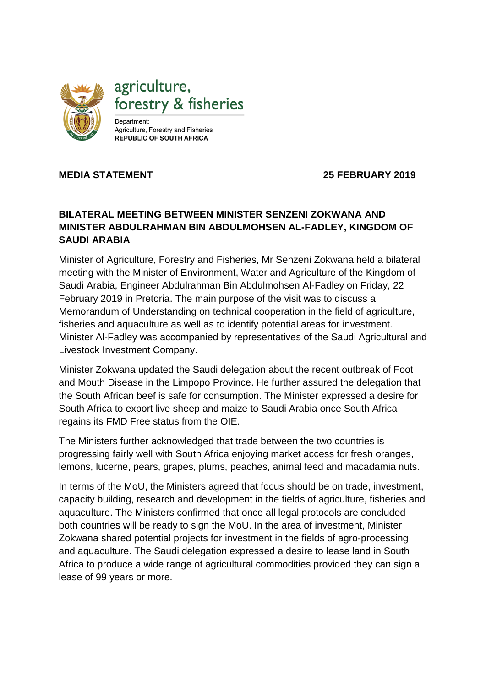

## **MEDIA STATEMENT 25 FEBRUARY 2019**

## **BILATERAL MEETING BETWEEN MINISTER SENZENI ZOKWANA AND MINISTER ABDULRAHMAN BIN ABDULMOHSEN AL-FADLEY, KINGDOM OF SAUDI ARABIA**

Minister of Agriculture, Forestry and Fisheries, Mr Senzeni Zokwana held a bilateral meeting with the Minister of Environment, Water and Agriculture of the Kingdom of Saudi Arabia, Engineer Abdulrahman Bin Abdulmohsen Al-Fadley on Friday, 22 February 2019 in Pretoria. The main purpose of the visit was to discuss a Memorandum of Understanding on technical cooperation in the field of agriculture, fisheries and aquaculture as well as to identify potential areas for investment. Minister Al-Fadley was accompanied by representatives of the Saudi Agricultural and Livestock Investment Company.

Minister Zokwana updated the Saudi delegation about the recent outbreak of Foot and Mouth Disease in the Limpopo Province. He further assured the delegation that the South African beef is safe for consumption. The Minister expressed a desire for South Africa to export live sheep and maize to Saudi Arabia once South Africa regains its FMD Free status from the OIE.

The Ministers further acknowledged that trade between the two countries is progressing fairly well with South Africa enjoying market access for fresh oranges, lemons, lucerne, pears, grapes, plums, peaches, animal feed and macadamia nuts.

In terms of the MoU, the Ministers agreed that focus should be on trade, investment, capacity building, research and development in the fields of agriculture, fisheries and aquaculture. The Ministers confirmed that once all legal protocols are concluded both countries will be ready to sign the MoU. In the area of investment, Minister Zokwana shared potential projects for investment in the fields of agro-processing and aquaculture. The Saudi delegation expressed a desire to lease land in South Africa to produce a wide range of agricultural commodities provided they can sign a lease of 99 years or more.